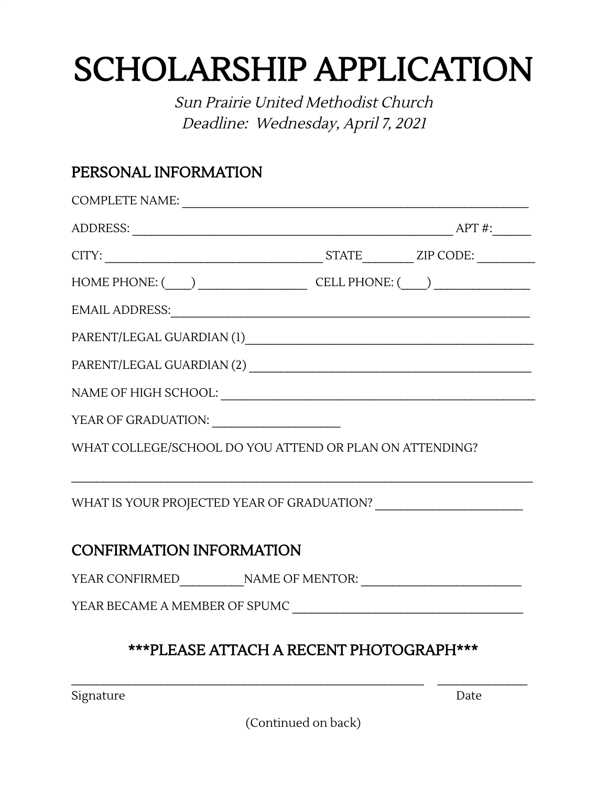## SCHOLARSHIP APPLICATION

Sun Prairie United Methodist Church Deadline: Wednesday, April 7, <sup>2021</sup>

## PERSONAL INFORMATION

|                                 | COMPLETE NAME:                                          |
|---------------------------------|---------------------------------------------------------|
|                                 |                                                         |
|                                 | $CITY:$ $ZIP\ CODE:$ $ZIP\ CODE:$                       |
|                                 | HOME PHONE: $\qquad \qquad$ CELL PHONE: $\qquad \qquad$ |
|                                 |                                                         |
|                                 |                                                         |
|                                 |                                                         |
|                                 |                                                         |
|                                 |                                                         |
|                                 | WHAT COLLEGE/SCHOOL DO YOU ATTEND OR PLAN ON ATTENDING? |
|                                 |                                                         |
| <b>CONFIRMATION INFORMATION</b> |                                                         |
|                                 |                                                         |
|                                 |                                                         |

Signature Date

(Continued on back)

 $\mathcal{L}_\mathcal{L} = \mathcal{L}_\mathcal{L} = \mathcal{L}_\mathcal{L} = \mathcal{L}_\mathcal{L} = \mathcal{L}_\mathcal{L} = \mathcal{L}_\mathcal{L} = \mathcal{L}_\mathcal{L} = \mathcal{L}_\mathcal{L} = \mathcal{L}_\mathcal{L} = \mathcal{L}_\mathcal{L} = \mathcal{L}_\mathcal{L} = \mathcal{L}_\mathcal{L} = \mathcal{L}_\mathcal{L} = \mathcal{L}_\mathcal{L} = \mathcal{L}_\mathcal{L} = \mathcal{L}_\mathcal{L} = \mathcal{L}_\mathcal{L}$